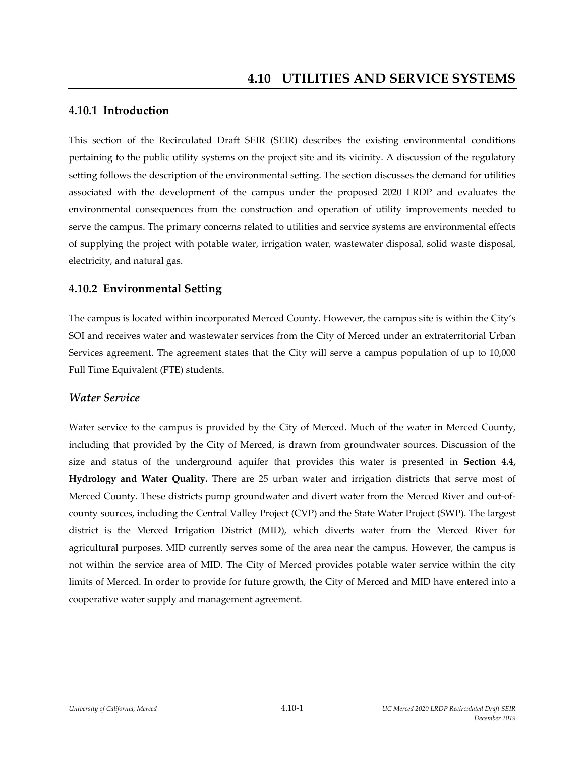## **4.10.1 Introduction**

This section of the Recirculated Draft SEIR (SEIR) describes the existing environmental conditions pertaining to the public utility systems on the project site and its vicinity. A discussion of the regulatory setting follows the description of the environmental setting. The section discusses the demand for utilities associated with the development of the campus under the proposed 2020 LRDP and evaluates the environmental consequences from the construction and operation of utility improvements needed to serve the campus. The primary concerns related to utilities and service systems are environmental effects of supplying the project with potable water, irrigation water, wastewater disposal, solid waste disposal, electricity, and natural gas.

## **4.10.2 Environmental Setting**

The campus is located within incorporated Merced County. However, the campus site is within the City's SOI and receives water and wastewater services from the City of Merced under an extraterritorial Urban Services agreement. The agreement states that the City will serve a campus population of up to 10,000 Full Time Equivalent (FTE) students.

### *Water Service*

Water service to the campus is provided by the City of Merced. Much of the water in Merced County, including that provided by the City of Merced, is drawn from groundwater sources. Discussion of the size and status of the underground aquifer that provides this water is presented in **Section 4.4, Hydrology and Water Quality.** There are 25 urban water and irrigation districts that serve most of Merced County. These districts pump groundwater and divert water from the Merced River and out‐of‐ county sources, including the Central Valley Project (CVP) and the State Water Project (SWP). The largest district is the Merced Irrigation District (MID), which diverts water from the Merced River for agricultural purposes. MID currently serves some of the area near the campus. However, the campus is not within the service area of MID. The City of Merced provides potable water service within the city limits of Merced. In order to provide for future growth, the City of Merced and MID have entered into a cooperative water supply and management agreement.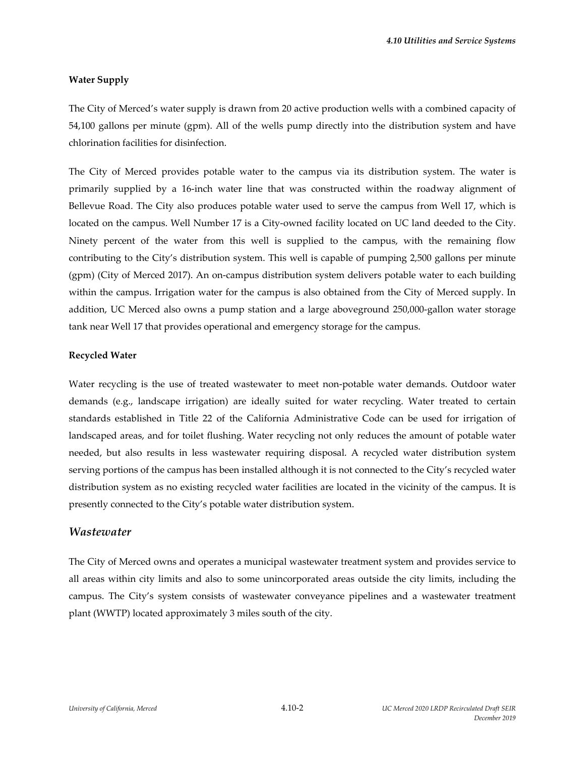#### **Water Supply**

The City of Merced's water supply is drawn from 20 active production wells with a combined capacity of 54,100 gallons per minute (gpm). All of the wells pump directly into the distribution system and have chlorination facilities for disinfection.

The City of Merced provides potable water to the campus via its distribution system. The water is primarily supplied by a 16‐inch water line that was constructed within the roadway alignment of Bellevue Road. The City also produces potable water used to serve the campus from Well 17, which is located on the campus. Well Number 17 is a City‐owned facility located on UC land deeded to the City. Ninety percent of the water from this well is supplied to the campus, with the remaining flow contributing to the City's distribution system. This well is capable of pumping 2,500 gallons per minute (gpm) (City of Merced 2017). An on‐campus distribution system delivers potable water to each building within the campus. Irrigation water for the campus is also obtained from the City of Merced supply. In addition, UC Merced also owns a pump station and a large aboveground 250,000‐gallon water storage tank near Well 17 that provides operational and emergency storage for the campus.

#### **Recycled Water**

Water recycling is the use of treated wastewater to meet non-potable water demands. Outdoor water demands (e.g., landscape irrigation) are ideally suited for water recycling. Water treated to certain standards established in Title 22 of the California Administrative Code can be used for irrigation of landscaped areas, and for toilet flushing. Water recycling not only reduces the amount of potable water needed, but also results in less wastewater requiring disposal. A recycled water distribution system serving portions of the campus has been installed although it is not connected to the City's recycled water distribution system as no existing recycled water facilities are located in the vicinity of the campus. It is presently connected to the City's potable water distribution system.

#### *Wastewater*

The City of Merced owns and operates a municipal wastewater treatment system and provides service to all areas within city limits and also to some unincorporated areas outside the city limits, including the campus. The City's system consists of wastewater conveyance pipelines and a wastewater treatment plant (WWTP) located approximately 3 miles south of the city.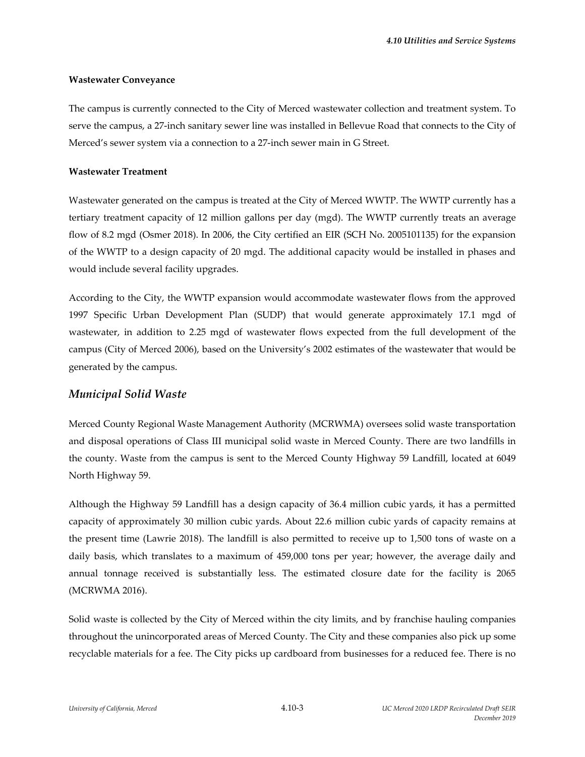#### **Wastewater Conveyance**

The campus is currently connected to the City of Merced wastewater collection and treatment system. To serve the campus, a 27‐inch sanitary sewer line was installed in Bellevue Road that connects to the City of Merced's sewer system via a connection to a 27‐inch sewer main in G Street.

#### **Wastewater Treatment**

Wastewater generated on the campus is treated at the City of Merced WWTP. The WWTP currently has a tertiary treatment capacity of 12 million gallons per day (mgd). The WWTP currently treats an average flow of 8.2 mgd (Osmer 2018). In 2006, the City certified an EIR (SCH No. 2005101135) for the expansion of the WWTP to a design capacity of 20 mgd. The additional capacity would be installed in phases and would include several facility upgrades.

According to the City, the WWTP expansion would accommodate wastewater flows from the approved 1997 Specific Urban Development Plan (SUDP) that would generate approximately 17.1 mgd of wastewater, in addition to 2.25 mgd of wastewater flows expected from the full development of the campus (City of Merced 2006), based on the University's 2002 estimates of the wastewater that would be generated by the campus.

### *Municipal Solid Waste*

Merced County Regional Waste Management Authority (MCRWMA) oversees solid waste transportation and disposal operations of Class III municipal solid waste in Merced County. There are two landfills in the county. Waste from the campus is sent to the Merced County Highway 59 Landfill, located at 6049 North Highway 59.

Although the Highway 59 Landfill has a design capacity of 36.4 million cubic yards, it has a permitted capacity of approximately 30 million cubic yards. About 22.6 million cubic yards of capacity remains at the present time (Lawrie 2018). The landfill is also permitted to receive up to 1,500 tons of waste on a daily basis, which translates to a maximum of 459,000 tons per year; however, the average daily and annual tonnage received is substantially less. The estimated closure date for the facility is 2065 (MCRWMA 2016).

Solid waste is collected by the City of Merced within the city limits, and by franchise hauling companies throughout the unincorporated areas of Merced County. The City and these companies also pick up some recyclable materials for a fee. The City picks up cardboard from businesses for a reduced fee. There is no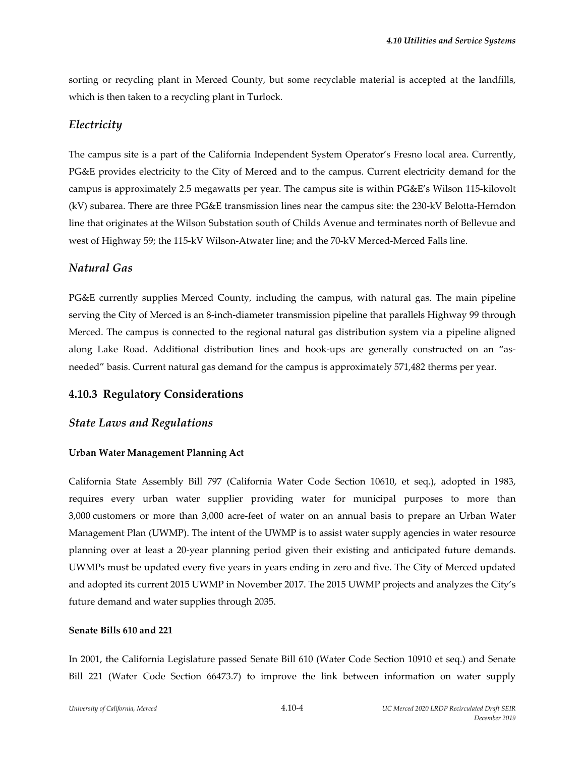sorting or recycling plant in Merced County, but some recyclable material is accepted at the landfills, which is then taken to a recycling plant in Turlock.

# *Electricity*

The campus site is a part of the California Independent System Operator's Fresno local area. Currently, PG&E provides electricity to the City of Merced and to the campus. Current electricity demand for the campus is approximately 2.5 megawatts per year. The campus site is within PG&E's Wilson 115‐kilovolt (kV) subarea. There are three PG&E transmission lines near the campus site: the 230‐kV Belotta‐Herndon line that originates at the Wilson Substation south of Childs Avenue and terminates north of Bellevue and west of Highway 59; the 115-kV Wilson-Atwater line; and the 70-kV Merced-Merced Falls line.

# *Natural Gas*

PG&E currently supplies Merced County, including the campus, with natural gas. The main pipeline serving the City of Merced is an 8-inch-diameter transmission pipeline that parallels Highway 99 through Merced. The campus is connected to the regional natural gas distribution system via a pipeline aligned along Lake Road. Additional distribution lines and hook-ups are generally constructed on an "asneeded" basis. Current natural gas demand for the campus is approximately 571,482 therms per year.

# **4.10.3 Regulatory Considerations**

## *State Laws and Regulations*

### **Urban Water Management Planning Act**

California State Assembly Bill 797 (California Water Code Section 10610, et seq.), adopted in 1983, requires every urban water supplier providing water for municipal purposes to more than 3,000 customers or more than 3,000 acre‐feet of water on an annual basis to prepare an Urban Water Management Plan (UWMP). The intent of the UWMP is to assist water supply agencies in water resource planning over at least a 20‐year planning period given their existing and anticipated future demands. UWMPs must be updated every five years in years ending in zero and five. The City of Merced updated and adopted its current 2015 UWMP in November 2017. The 2015 UWMP projects and analyzes the City's future demand and water supplies through 2035.

### **Senate Bills 610 and 221**

In 2001, the California Legislature passed Senate Bill 610 (Water Code Section 10910 et seq.) and Senate Bill 221 (Water Code Section 66473.7) to improve the link between information on water supply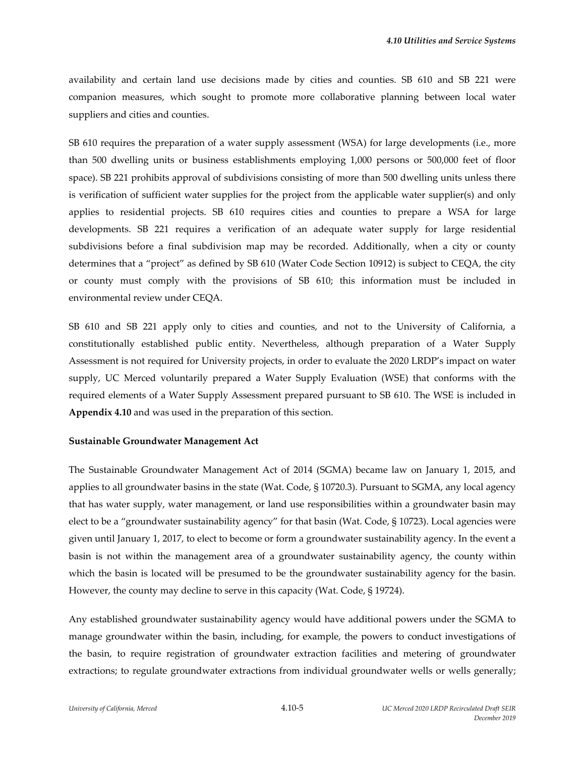availability and certain land use decisions made by cities and counties. SB 610 and SB 221 were companion measures, which sought to promote more collaborative planning between local water suppliers and cities and counties.

SB 610 requires the preparation of a water supply assessment (WSA) for large developments (i.e., more than 500 dwelling units or business establishments employing 1,000 persons or 500,000 feet of floor space). SB 221 prohibits approval of subdivisions consisting of more than 500 dwelling units unless there is verification of sufficient water supplies for the project from the applicable water supplier(s) and only applies to residential projects. SB 610 requires cities and counties to prepare a WSA for large developments. SB 221 requires a verification of an adequate water supply for large residential subdivisions before a final subdivision map may be recorded. Additionally, when a city or county determines that a "project" as defined by SB 610 (Water Code Section 10912) is subject to CEQA, the city or county must comply with the provisions of SB 610; this information must be included in environmental review under CEQA.

SB 610 and SB 221 apply only to cities and counties, and not to the University of California, a constitutionally established public entity. Nevertheless, although preparation of a Water Supply Assessment is not required for University projects, in order to evaluate the 2020 LRDP's impact on water supply, UC Merced voluntarily prepared a Water Supply Evaluation (WSE) that conforms with the required elements of a Water Supply Assessment prepared pursuant to SB 610. The WSE is included in **Appendix 4.10** and was used in the preparation of this section.

#### **Sustainable Groundwater Management Act**

The Sustainable Groundwater Management Act of 2014 (SGMA) became law on January 1, 2015, and applies to all groundwater basins in the state (Wat. Code, § 10720.3). Pursuant to SGMA, any local agency that has water supply, water management, or land use responsibilities within a groundwater basin may elect to be a "groundwater sustainability agency" for that basin (Wat. Code, § 10723). Local agencies were given until January 1, 2017, to elect to become or form a groundwater sustainability agency. In the event a basin is not within the management area of a groundwater sustainability agency, the county within which the basin is located will be presumed to be the groundwater sustainability agency for the basin. However, the county may decline to serve in this capacity (Wat. Code, § 19724).

Any established groundwater sustainability agency would have additional powers under the SGMA to manage groundwater within the basin, including, for example, the powers to conduct investigations of the basin, to require registration of groundwater extraction facilities and metering of groundwater extractions; to regulate groundwater extractions from individual groundwater wells or wells generally;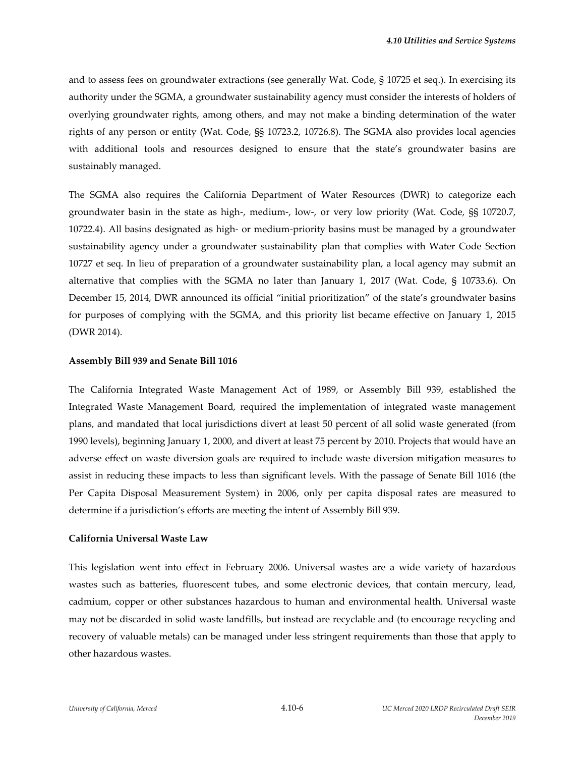and to assess fees on groundwater extractions (see generally Wat. Code, § 10725 et seq.). In exercising its authority under the SGMA, a groundwater sustainability agency must consider the interests of holders of overlying groundwater rights, among others, and may not make a binding determination of the water rights of any person or entity (Wat. Code, §§ 10723.2, 10726.8). The SGMA also provides local agencies with additional tools and resources designed to ensure that the state's groundwater basins are sustainably managed.

The SGMA also requires the California Department of Water Resources (DWR) to categorize each groundwater basin in the state as high‐, medium‐, low‐, or very low priority (Wat. Code, §§ 10720.7, 10722.4). All basins designated as high‐ or medium‐priority basins must be managed by a groundwater sustainability agency under a groundwater sustainability plan that complies with Water Code Section 10727 et seq. In lieu of preparation of a groundwater sustainability plan, a local agency may submit an alternative that complies with the SGMA no later than January 1, 2017 (Wat. Code, § 10733.6). On December 15, 2014, DWR announced its official "initial prioritization" of the state's groundwater basins for purposes of complying with the SGMA, and this priority list became effective on January 1, 2015 (DWR 2014).

#### **Assembly Bill 939 and Senate Bill 1016**

The California Integrated Waste Management Act of 1989, or Assembly Bill 939, established the Integrated Waste Management Board, required the implementation of integrated waste management plans, and mandated that local jurisdictions divert at least 50 percent of all solid waste generated (from 1990 levels), beginning January 1, 2000, and divert at least 75 percent by 2010. Projects that would have an adverse effect on waste diversion goals are required to include waste diversion mitigation measures to assist in reducing these impacts to less than significant levels. With the passage of Senate Bill 1016 (the Per Capita Disposal Measurement System) in 2006, only per capita disposal rates are measured to determine if a jurisdiction's efforts are meeting the intent of Assembly Bill 939.

#### **California Universal Waste Law**

This legislation went into effect in February 2006. Universal wastes are a wide variety of hazardous wastes such as batteries, fluorescent tubes, and some electronic devices, that contain mercury, lead, cadmium, copper or other substances hazardous to human and environmental health. Universal waste may not be discarded in solid waste landfills, but instead are recyclable and (to encourage recycling and recovery of valuable metals) can be managed under less stringent requirements than those that apply to other hazardous wastes.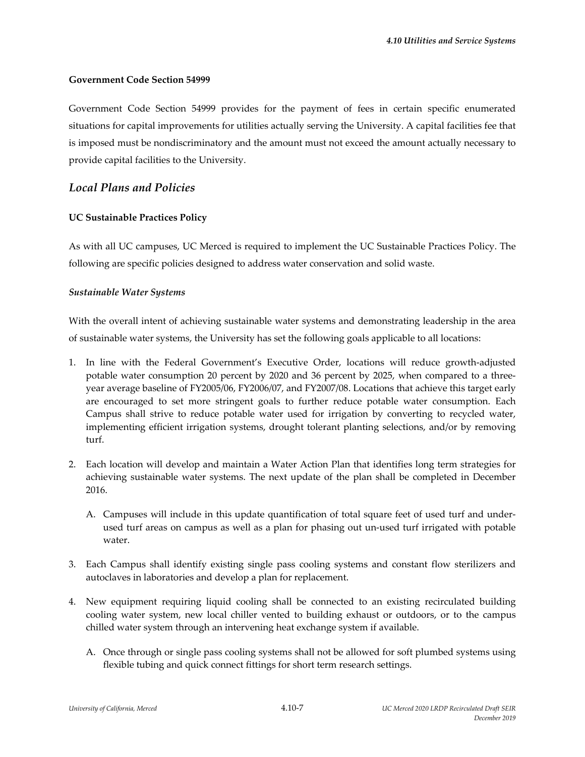#### **Government Code Section 54999**

Government Code Section 54999 provides for the payment of fees in certain specific enumerated situations for capital improvements for utilities actually serving the University. A capital facilities fee that is imposed must be nondiscriminatory and the amount must not exceed the amount actually necessary to provide capital facilities to the University.

### *Local Plans and Policies*

#### **UC Sustainable Practices Policy**

As with all UC campuses, UC Merced is required to implement the UC Sustainable Practices Policy. The following are specific policies designed to address water conservation and solid waste.

#### *Sustainable Water Systems*

With the overall intent of achieving sustainable water systems and demonstrating leadership in the area of sustainable water systems, the University has set the following goals applicable to all locations:

- 1. In line with the Federal Government's Executive Order, locations will reduce growth‐adjusted potable water consumption 20 percent by 2020 and 36 percent by 2025, when compared to a threeyear average baseline of FY2005/06, FY2006/07, and FY2007/08. Locations that achieve this target early are encouraged to set more stringent goals to further reduce potable water consumption. Each Campus shall strive to reduce potable water used for irrigation by converting to recycled water, implementing efficient irrigation systems, drought tolerant planting selections, and/or by removing turf.
- 2. Each location will develop and maintain a Water Action Plan that identifies long term strategies for achieving sustainable water systems. The next update of the plan shall be completed in December 2016.
	- A. Campuses will include in this update quantification of total square feet of used turf and under‐ used turf areas on campus as well as a plan for phasing out un‐used turf irrigated with potable water.
- 3. Each Campus shall identify existing single pass cooling systems and constant flow sterilizers and autoclaves in laboratories and develop a plan for replacement.
- 4. New equipment requiring liquid cooling shall be connected to an existing recirculated building cooling water system, new local chiller vented to building exhaust or outdoors, or to the campus chilled water system through an intervening heat exchange system if available.
	- A. Once through or single pass cooling systems shall not be allowed for soft plumbed systems using flexible tubing and quick connect fittings for short term research settings.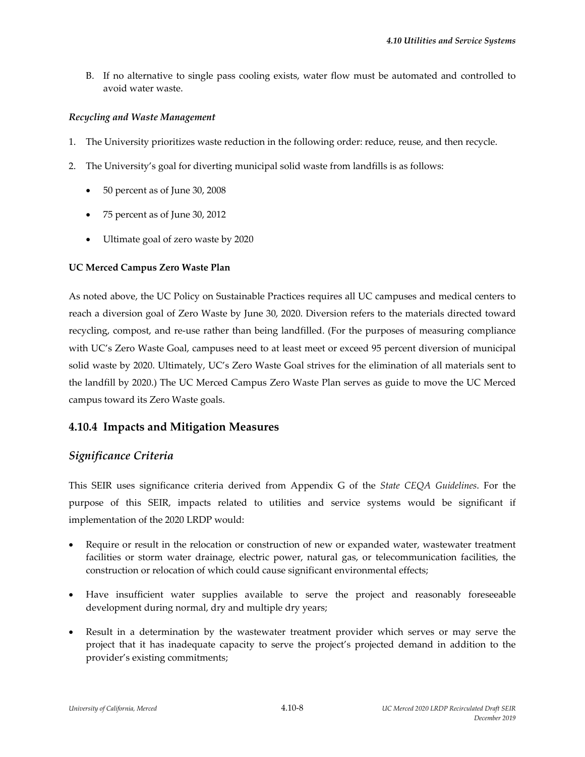B. If no alternative to single pass cooling exists, water flow must be automated and controlled to avoid water waste.

#### *Recycling and Waste Management*

- 1. The University prioritizes waste reduction in the following order: reduce, reuse, and then recycle.
- 2. The University's goal for diverting municipal solid waste from landfills is as follows:
	- 50 percent as of June 30, 2008
	- 75 percent as of June 30, 2012
	- Ultimate goal of zero waste by 2020

### **UC Merced Campus Zero Waste Plan**

As noted above, the UC Policy on Sustainable Practices requires all UC campuses and medical centers to reach a diversion goal of Zero Waste by June 30, 2020. Diversion refers to the materials directed toward recycling, compost, and re‐use rather than being landfilled. (For the purposes of measuring compliance with UC's Zero Waste Goal, campuses need to at least meet or exceed 95 percent diversion of municipal solid waste by 2020. Ultimately, UC's Zero Waste Goal strives for the elimination of all materials sent to the landfill by 2020.) The UC Merced Campus Zero Waste Plan serves as guide to move the UC Merced campus toward its Zero Waste goals.

## **4.10.4 Impacts and Mitigation Measures**

## *Significance Criteria*

This SEIR uses significance criteria derived from Appendix G of the *State CEQA Guidelines*. For the purpose of this SEIR, impacts related to utilities and service systems would be significant if implementation of the 2020 LRDP would:

- Require or result in the relocation or construction of new or expanded water, wastewater treatment facilities or storm water drainage, electric power, natural gas, or telecommunication facilities, the construction or relocation of which could cause significant environmental effects;
- Have insufficient water supplies available to serve the project and reasonably foreseeable development during normal, dry and multiple dry years;
- Result in a determination by the wastewater treatment provider which serves or may serve the project that it has inadequate capacity to serve the project's projected demand in addition to the provider's existing commitments;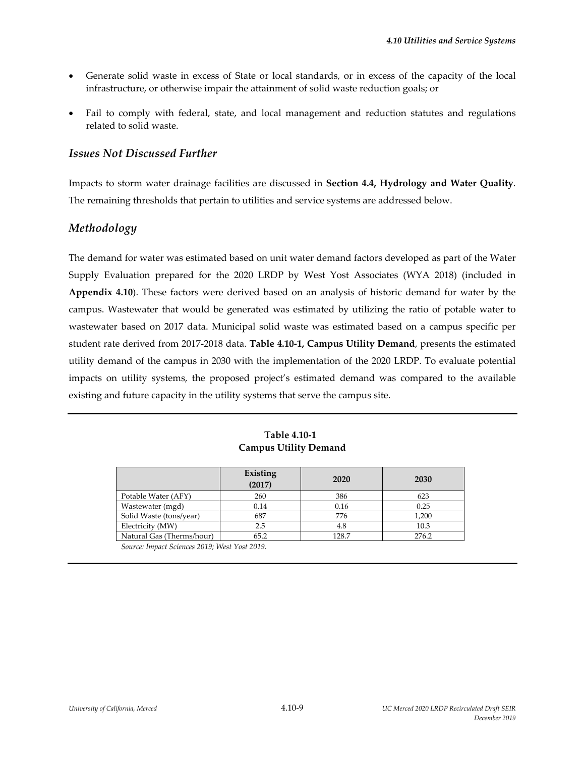- Generate solid waste in excess of State or local standards, or in excess of the capacity of the local infrastructure, or otherwise impair the attainment of solid waste reduction goals; or
- Fail to comply with federal, state, and local management and reduction statutes and regulations related to solid waste.

## *Issues Not Discussed Further*

Impacts to storm water drainage facilities are discussed in **Section 4.4, Hydrology and Water Quality**. The remaining thresholds that pertain to utilities and service systems are addressed below.

# *Methodology*

The demand for water was estimated based on unit water demand factors developed as part of the Water Supply Evaluation prepared for the 2020 LRDP by West Yost Associates (WYA 2018) (included in **Appendix 4.10**). These factors were derived based on an analysis of historic demand for water by the campus. Wastewater that would be generated was estimated by utilizing the ratio of potable water to wastewater based on 2017 data. Municipal solid waste was estimated based on a campus specific per student rate derived from 2017‐2018 data. **Table 4.10‐1, Campus Utility Demand**, presents the estimated utility demand of the campus in 2030 with the implementation of the 2020 LRDP. To evaluate potential impacts on utility systems, the proposed project's estimated demand was compared to the available existing and future capacity in the utility systems that serve the campus site.

| Table 4.10-1                 |  |  |  |  |
|------------------------------|--|--|--|--|
| <b>Campus Utility Demand</b> |  |  |  |  |

|                           | Existing<br>(2017) | 2020  | 2030  |
|---------------------------|--------------------|-------|-------|
| Potable Water (AFY)       | 260                | 386   | 623   |
| Wastewater (mgd)          | 0.14               | 0.16  | 0.25  |
| Solid Waste (tons/year)   | 687                | 776   | 1,200 |
| Electricity (MW)          | 2.5                | 4.8   | 10.3  |
| Natural Gas (Therms/hour) | 65.2               | 128.7 | 276.2 |

*Source: Impact Sciences 2019; West Yost 2019.*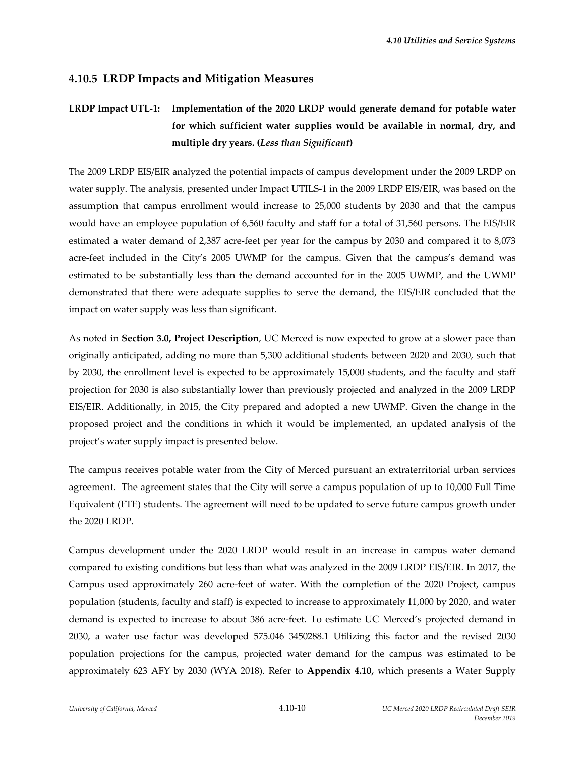## **4.10.5 LRDP Impacts and Mitigation Measures**

# **LRDP Impact UTL‐1: Implementation of the 2020 LRDP would generate demand for potable water for which sufficient water supplies would be available in normal, dry, and multiple dry years. (***Less than Significant***)**

The 2009 LRDP EIS/EIR analyzed the potential impacts of campus development under the 2009 LRDP on water supply. The analysis, presented under Impact UTILS‐1 in the 2009 LRDP EIS/EIR, was based on the assumption that campus enrollment would increase to 25,000 students by 2030 and that the campus would have an employee population of 6,560 faculty and staff for a total of 31,560 persons. The EIS/EIR estimated a water demand of 2,387 acre‐feet per year for the campus by 2030 and compared it to 8,073 acre-feet included in the City's 2005 UWMP for the campus. Given that the campus's demand was estimated to be substantially less than the demand accounted for in the 2005 UWMP, and the UWMP demonstrated that there were adequate supplies to serve the demand, the EIS/EIR concluded that the impact on water supply was less than significant.

As noted in **Section 3.0, Project Description**, UC Merced is now expected to grow at a slower pace than originally anticipated, adding no more than 5,300 additional students between 2020 and 2030, such that by 2030, the enrollment level is expected to be approximately 15,000 students, and the faculty and staff projection for 2030 is also substantially lower than previously projected and analyzed in the 2009 LRDP EIS/EIR. Additionally, in 2015, the City prepared and adopted a new UWMP. Given the change in the proposed project and the conditions in which it would be implemented, an updated analysis of the project's water supply impact is presented below.

The campus receives potable water from the City of Merced pursuant an extraterritorial urban services agreement. The agreement states that the City will serve a campus population of up to 10,000 Full Time Equivalent (FTE) students. The agreement will need to be updated to serve future campus growth under the 2020 LRDP.

Campus development under the 2020 LRDP would result in an increase in campus water demand compared to existing conditions but less than what was analyzed in the 2009 LRDP EIS/EIR. In 2017, the Campus used approximately 260 acre‐feet of water. With the completion of the 2020 Project, campus population (students, faculty and staff) is expected to increase to approximately 11,000 by 2020, and water demand is expected to increase to about 386 acre‐feet. To estimate UC Merced's projected demand in 2030, a water use factor was developed 575.046 3450288.1 Utilizing this factor and the revised 2030 population projections for the campus, projected water demand for the campus was estimated to be approximately 623 AFY by 2030 (WYA 2018). Refer to **Appendix 4.10,** which presents a Water Supply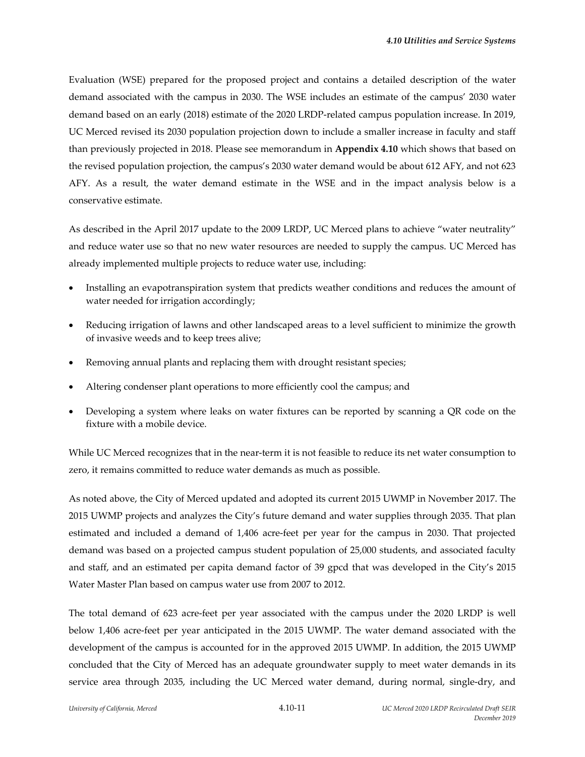Evaluation (WSE) prepared for the proposed project and contains a detailed description of the water demand associated with the campus in 2030. The WSE includes an estimate of the campus' 2030 water demand based on an early (2018) estimate of the 2020 LRDP‐related campus population increase. In 2019, UC Merced revised its 2030 population projection down to include a smaller increase in faculty and staff than previously projected in 2018. Please see memorandum in **Appendix 4.10** which shows that based on the revised population projection, the campus's 2030 water demand would be about 612 AFY, and not 623 AFY. As a result, the water demand estimate in the WSE and in the impact analysis below is a conservative estimate.

As described in the April 2017 update to the 2009 LRDP, UC Merced plans to achieve "water neutrality" and reduce water use so that no new water resources are needed to supply the campus. UC Merced has already implemented multiple projects to reduce water use, including:

- Installing an evapotranspiration system that predicts weather conditions and reduces the amount of water needed for irrigation accordingly;
- Reducing irrigation of lawns and other landscaped areas to a level sufficient to minimize the growth of invasive weeds and to keep trees alive;
- Removing annual plants and replacing them with drought resistant species;
- Altering condenser plant operations to more efficiently cool the campus; and
- Developing a system where leaks on water fixtures can be reported by scanning a QR code on the fixture with a mobile device.

While UC Merced recognizes that in the near-term it is not feasible to reduce its net water consumption to zero, it remains committed to reduce water demands as much as possible.

As noted above, the City of Merced updated and adopted its current 2015 UWMP in November 2017. The 2015 UWMP projects and analyzes the City's future demand and water supplies through 2035. That plan estimated and included a demand of 1,406 acre‐feet per year for the campus in 2030. That projected demand was based on a projected campus student population of 25,000 students, and associated faculty and staff, and an estimated per capita demand factor of 39 gpcd that was developed in the City's 2015 Water Master Plan based on campus water use from 2007 to 2012.

The total demand of 623 acre-feet per year associated with the campus under the 2020 LRDP is well below 1,406 acre‐feet per year anticipated in the 2015 UWMP. The water demand associated with the development of the campus is accounted for in the approved 2015 UWMP. In addition, the 2015 UWMP concluded that the City of Merced has an adequate groundwater supply to meet water demands in its service area through 2035, including the UC Merced water demand, during normal, single-dry, and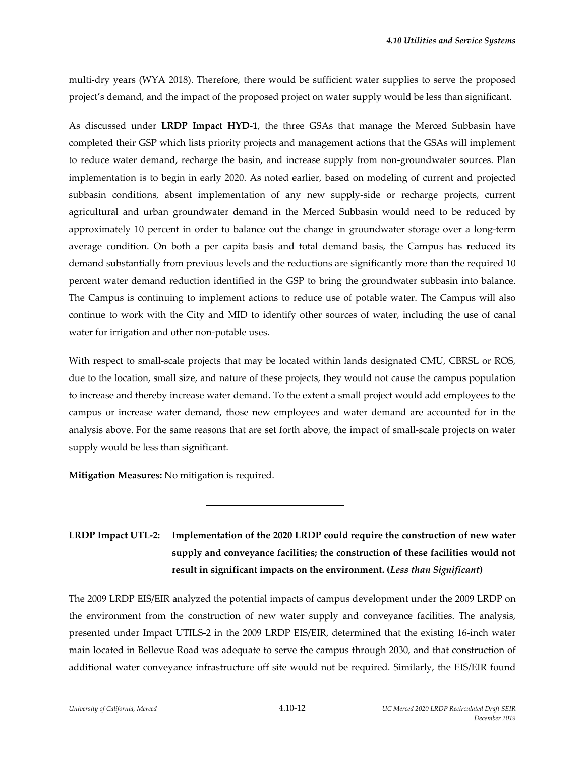multi‐dry years (WYA 2018). Therefore, there would be sufficient water supplies to serve the proposed project's demand, and the impact of the proposed project on water supply would be less than significant.

As discussed under **LRDP Impact HYD‐1**, the three GSAs that manage the Merced Subbasin have completed their GSP which lists priority projects and management actions that the GSAs will implement to reduce water demand, recharge the basin, and increase supply from non-groundwater sources. Plan implementation is to begin in early 2020. As noted earlier, based on modeling of current and projected subbasin conditions, absent implementation of any new supply‐side or recharge projects, current agricultural and urban groundwater demand in the Merced Subbasin would need to be reduced by approximately 10 percent in order to balance out the change in groundwater storage over a long‐term average condition. On both a per capita basis and total demand basis, the Campus has reduced its demand substantially from previous levels and the reductions are significantly more than the required 10 percent water demand reduction identified in the GSP to bring the groundwater subbasin into balance. The Campus is continuing to implement actions to reduce use of potable water. The Campus will also continue to work with the City and MID to identify other sources of water, including the use of canal water for irrigation and other non-potable uses.

With respect to small-scale projects that may be located within lands designated CMU, CBRSL or ROS, due to the location, small size, and nature of these projects, they would not cause the campus population to increase and thereby increase water demand. To the extent a small project would add employees to the campus or increase water demand, those new employees and water demand are accounted for in the analysis above. For the same reasons that are set forth above, the impact of small-scale projects on water supply would be less than significant.

**Mitigation Measures:** No mitigation is required.

l

# **LRDP Impact UTL‐2: Implementation of the 2020 LRDP could require the construction of new water supply and conveyance facilities; the construction of these facilities would not result in significant impacts on the environment. (***Less than Significant***)**

The 2009 LRDP EIS/EIR analyzed the potential impacts of campus development under the 2009 LRDP on the environment from the construction of new water supply and conveyance facilities. The analysis, presented under Impact UTILS‐2 in the 2009 LRDP EIS/EIR, determined that the existing 16‐inch water main located in Bellevue Road was adequate to serve the campus through 2030, and that construction of additional water conveyance infrastructure off site would not be required. Similarly, the EIS/EIR found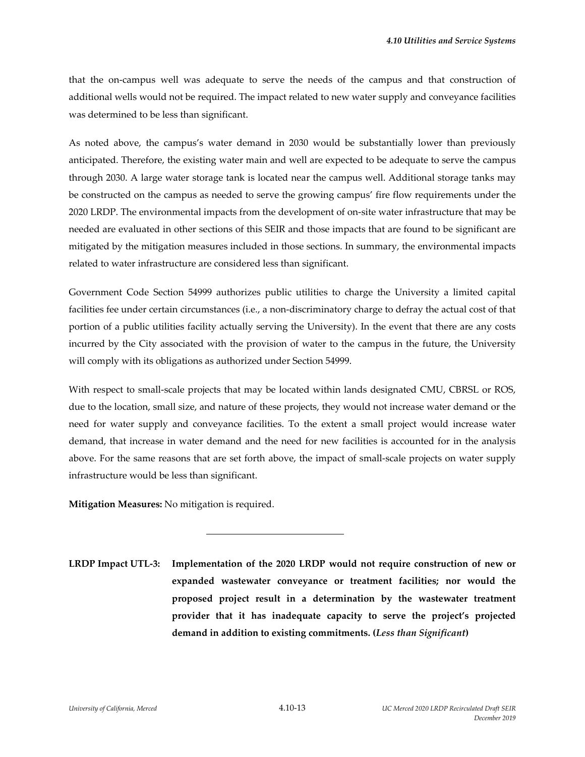that the on-campus well was adequate to serve the needs of the campus and that construction of additional wells would not be required. The impact related to new water supply and conveyance facilities was determined to be less than significant.

As noted above, the campus's water demand in 2030 would be substantially lower than previously anticipated. Therefore, the existing water main and well are expected to be adequate to serve the campus through 2030. A large water storage tank is located near the campus well. Additional storage tanks may be constructed on the campus as needed to serve the growing campus' fire flow requirements under the 2020 LRDP. The environmental impacts from the development of on‐site water infrastructure that may be needed are evaluated in other sections of this SEIR and those impacts that are found to be significant are mitigated by the mitigation measures included in those sections. In summary, the environmental impacts related to water infrastructure are considered less than significant.

Government Code Section 54999 authorizes public utilities to charge the University a limited capital facilities fee under certain circumstances (i.e., a non-discriminatory charge to defray the actual cost of that portion of a public utilities facility actually serving the University). In the event that there are any costs incurred by the City associated with the provision of water to the campus in the future, the University will comply with its obligations as authorized under Section 54999.

With respect to small-scale projects that may be located within lands designated CMU, CBRSL or ROS, due to the location, small size, and nature of these projects, they would not increase water demand or the need for water supply and conveyance facilities. To the extent a small project would increase water demand, that increase in water demand and the need for new facilities is accounted for in the analysis above. For the same reasons that are set forth above, the impact of small‐scale projects on water supply infrastructure would be less than significant.

**Mitigation Measures:** No mitigation is required.

l

**LRDP Impact UTL‐3: Implementation of the 2020 LRDP would not require construction of new or expanded wastewater conveyance or treatment facilities; nor would the proposed project result in a determination by the wastewater treatment provider that it has inadequate capacity to serve the project's projected demand in addition to existing commitments. (***Less than Significant***)**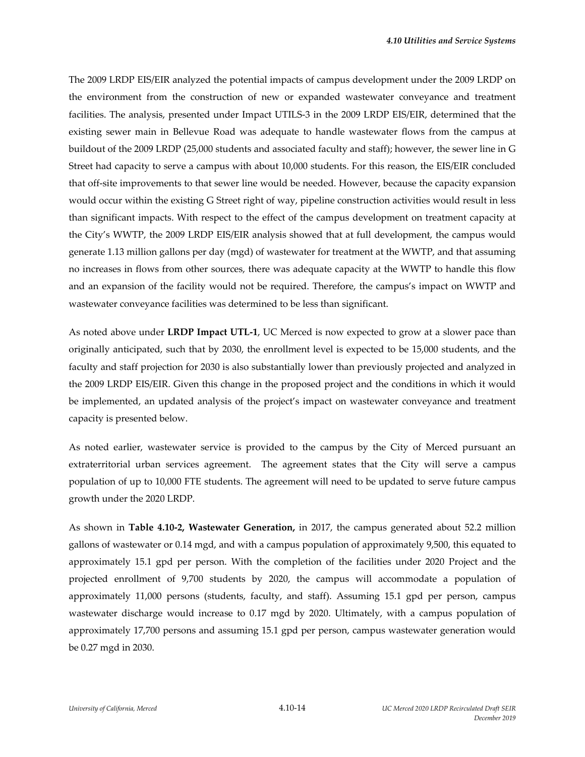The 2009 LRDP EIS/EIR analyzed the potential impacts of campus development under the 2009 LRDP on the environment from the construction of new or expanded wastewater conveyance and treatment facilities. The analysis, presented under Impact UTILS‐3 in the 2009 LRDP EIS/EIR, determined that the existing sewer main in Bellevue Road was adequate to handle wastewater flows from the campus at buildout of the 2009 LRDP (25,000 students and associated faculty and staff); however, the sewer line in G Street had capacity to serve a campus with about 10,000 students. For this reason, the EIS/EIR concluded that off-site improvements to that sewer line would be needed. However, because the capacity expansion would occur within the existing G Street right of way, pipeline construction activities would result in less than significant impacts. With respect to the effect of the campus development on treatment capacity at the City's WWTP, the 2009 LRDP EIS/EIR analysis showed that at full development, the campus would generate 1.13 million gallons per day (mgd) of wastewater for treatment at the WWTP, and that assuming no increases in flows from other sources, there was adequate capacity at the WWTP to handle this flow and an expansion of the facility would not be required. Therefore, the campus's impact on WWTP and wastewater conveyance facilities was determined to be less than significant.

As noted above under **LRDP Impact UTL‐1**, UC Merced is now expected to grow at a slower pace than originally anticipated, such that by 2030, the enrollment level is expected to be 15,000 students, and the faculty and staff projection for 2030 is also substantially lower than previously projected and analyzed in the 2009 LRDP EIS/EIR. Given this change in the proposed project and the conditions in which it would be implemented, an updated analysis of the project's impact on wastewater conveyance and treatment capacity is presented below.

As noted earlier, wastewater service is provided to the campus by the City of Merced pursuant an extraterritorial urban services agreement. The agreement states that the City will serve a campus population of up to 10,000 FTE students. The agreement will need to be updated to serve future campus growth under the 2020 LRDP.

As shown in **Table 4.10‐2, Wastewater Generation,** in 2017, the campus generated about 52.2 million gallons of wastewater or 0.14 mgd, and with a campus population of approximately 9,500, this equated to approximately 15.1 gpd per person. With the completion of the facilities under 2020 Project and the projected enrollment of 9,700 students by 2020, the campus will accommodate a population of approximately 11,000 persons (students, faculty, and staff). Assuming 15.1 gpd per person, campus wastewater discharge would increase to 0.17 mgd by 2020. Ultimately, with a campus population of approximately 17,700 persons and assuming 15.1 gpd per person, campus wastewater generation would be 0.27 mgd in 2030.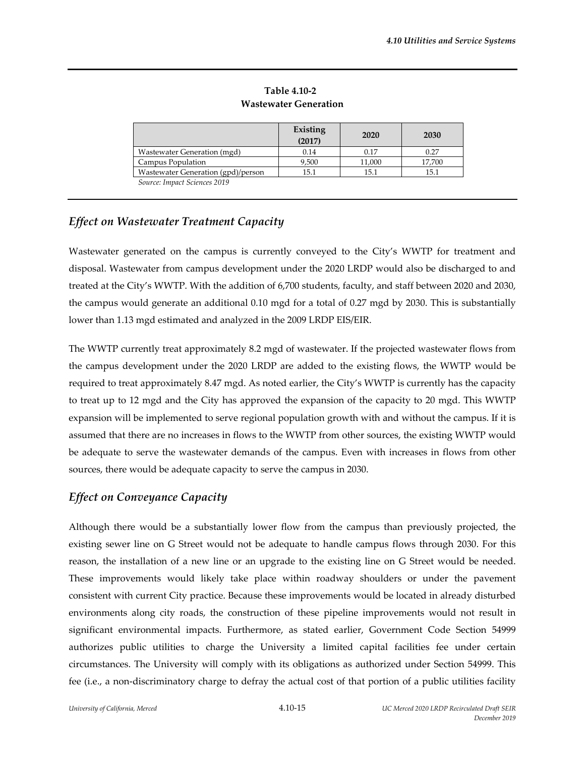|                                    | Existing<br>(2017) | 2020   | 2030   |
|------------------------------------|--------------------|--------|--------|
| Wastewater Generation (mgd)        | 0.14               | 0.17   | 0.27   |
| Campus Population                  | 9,500              | 11,000 | 17,700 |
| Wastewater Generation (gpd)/person | 15.1               | 15.1   | 15.1   |
| Source: Impact Sciences 2019       |                    |        |        |

**Table 4.10‐2 Wastewater Generation** 

# *Effect on Wastewater Treatment Capacity*

Wastewater generated on the campus is currently conveyed to the City's WWTP for treatment and disposal. Wastewater from campus development under the 2020 LRDP would also be discharged to and treated at the City's WWTP. With the addition of 6,700 students, faculty, and staff between 2020 and 2030, the campus would generate an additional 0.10 mgd for a total of 0.27 mgd by 2030. This is substantially lower than 1.13 mgd estimated and analyzed in the 2009 LRDP EIS/EIR.

The WWTP currently treat approximately 8.2 mgd of wastewater. If the projected wastewater flows from the campus development under the 2020 LRDP are added to the existing flows, the WWTP would be required to treat approximately 8.47 mgd. As noted earlier, the City's WWTP is currently has the capacity to treat up to 12 mgd and the City has approved the expansion of the capacity to 20 mgd. This WWTP expansion will be implemented to serve regional population growth with and without the campus. If it is assumed that there are no increases in flows to the WWTP from other sources, the existing WWTP would be adequate to serve the wastewater demands of the campus. Even with increases in flows from other sources, there would be adequate capacity to serve the campus in 2030.

# *Effect on Conveyance Capacity*

Although there would be a substantially lower flow from the campus than previously projected, the existing sewer line on G Street would not be adequate to handle campus flows through 2030. For this reason, the installation of a new line or an upgrade to the existing line on G Street would be needed. These improvements would likely take place within roadway shoulders or under the pavement consistent with current City practice. Because these improvements would be located in already disturbed environments along city roads, the construction of these pipeline improvements would not result in significant environmental impacts. Furthermore, as stated earlier, Government Code Section 54999 authorizes public utilities to charge the University a limited capital facilities fee under certain circumstances. The University will comply with its obligations as authorized under Section 54999. This fee (i.e., a non-discriminatory charge to defray the actual cost of that portion of a public utilities facility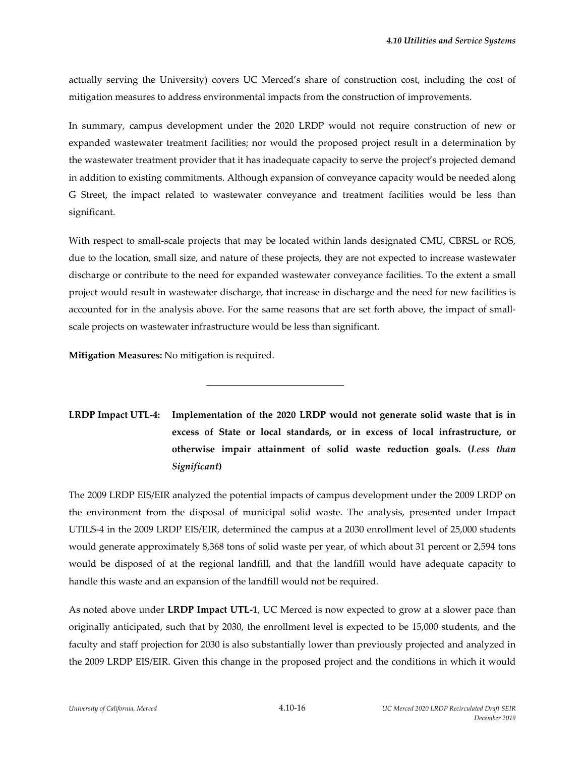actually serving the University) covers UC Merced's share of construction cost, including the cost of mitigation measures to address environmental impacts from the construction of improvements.

In summary, campus development under the 2020 LRDP would not require construction of new or expanded wastewater treatment facilities; nor would the proposed project result in a determination by the wastewater treatment provider that it has inadequate capacity to serve the project's projected demand in addition to existing commitments. Although expansion of conveyance capacity would be needed along G Street, the impact related to wastewater conveyance and treatment facilities would be less than significant.

With respect to small-scale projects that may be located within lands designated CMU, CBRSL or ROS, due to the location, small size, and nature of these projects, they are not expected to increase wastewater discharge or contribute to the need for expanded wastewater conveyance facilities. To the extent a small project would result in wastewater discharge, that increase in discharge and the need for new facilities is accounted for in the analysis above. For the same reasons that are set forth above, the impact of smallscale projects on wastewater infrastructure would be less than significant.

**Mitigation Measures:** No mitigation is required.

l

# **LRDP Impact UTL‐4: Implementation of the 2020 LRDP would not generate solid waste that is in excess of State or local standards, or in excess of local infrastructure, or otherwise impair attainment of solid waste reduction goals. (***Less than Significant***)**

The 2009 LRDP EIS/EIR analyzed the potential impacts of campus development under the 2009 LRDP on the environment from the disposal of municipal solid waste. The analysis, presented under Impact UTILS‐4 in the 2009 LRDP EIS/EIR, determined the campus at a 2030 enrollment level of 25,000 students would generate approximately 8,368 tons of solid waste per year, of which about 31 percent or 2,594 tons would be disposed of at the regional landfill, and that the landfill would have adequate capacity to handle this waste and an expansion of the landfill would not be required.

As noted above under **LRDP Impact UTL‐1**, UC Merced is now expected to grow at a slower pace than originally anticipated, such that by 2030, the enrollment level is expected to be 15,000 students, and the faculty and staff projection for 2030 is also substantially lower than previously projected and analyzed in the 2009 LRDP EIS/EIR. Given this change in the proposed project and the conditions in which it would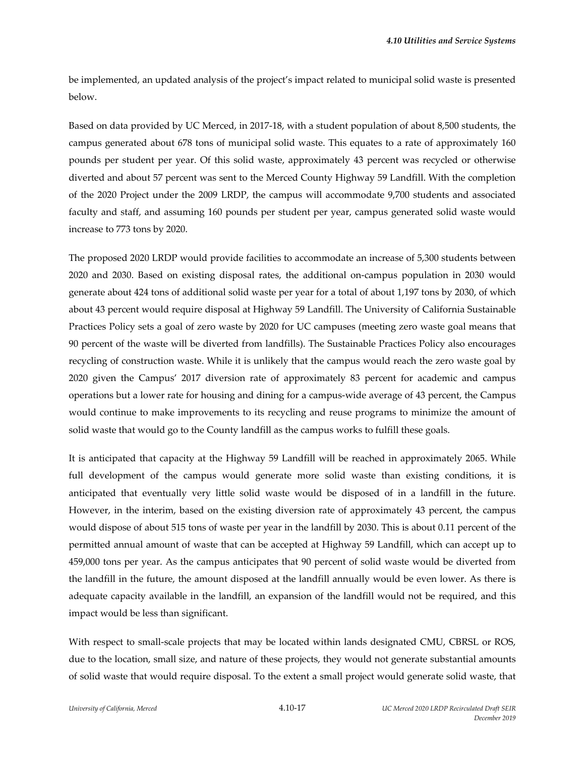be implemented, an updated analysis of the project's impact related to municipal solid waste is presented below.

Based on data provided by UC Merced, in 2017‐18, with a student population of about 8,500 students, the campus generated about 678 tons of municipal solid waste. This equates to a rate of approximately 160 pounds per student per year. Of this solid waste, approximately 43 percent was recycled or otherwise diverted and about 57 percent was sent to the Merced County Highway 59 Landfill. With the completion of the 2020 Project under the 2009 LRDP, the campus will accommodate 9,700 students and associated faculty and staff, and assuming 160 pounds per student per year, campus generated solid waste would increase to 773 tons by 2020.

The proposed 2020 LRDP would provide facilities to accommodate an increase of 5,300 students between 2020 and 2030. Based on existing disposal rates, the additional on‐campus population in 2030 would generate about 424 tons of additional solid waste per year for a total of about 1,197 tons by 2030, of which about 43 percent would require disposal at Highway 59 Landfill. The University of California Sustainable Practices Policy sets a goal of zero waste by 2020 for UC campuses (meeting zero waste goal means that 90 percent of the waste will be diverted from landfills). The Sustainable Practices Policy also encourages recycling of construction waste. While it is unlikely that the campus would reach the zero waste goal by 2020 given the Campus' 2017 diversion rate of approximately 83 percent for academic and campus operations but a lower rate for housing and dining for a campus‐wide average of 43 percent, the Campus would continue to make improvements to its recycling and reuse programs to minimize the amount of solid waste that would go to the County landfill as the campus works to fulfill these goals.

It is anticipated that capacity at the Highway 59 Landfill will be reached in approximately 2065. While full development of the campus would generate more solid waste than existing conditions, it is anticipated that eventually very little solid waste would be disposed of in a landfill in the future. However, in the interim, based on the existing diversion rate of approximately 43 percent, the campus would dispose of about 515 tons of waste per year in the landfill by 2030. This is about 0.11 percent of the permitted annual amount of waste that can be accepted at Highway 59 Landfill, which can accept up to 459,000 tons per year. As the campus anticipates that 90 percent of solid waste would be diverted from the landfill in the future, the amount disposed at the landfill annually would be even lower. As there is adequate capacity available in the landfill, an expansion of the landfill would not be required, and this impact would be less than significant.

With respect to small-scale projects that may be located within lands designated CMU, CBRSL or ROS, due to the location, small size, and nature of these projects, they would not generate substantial amounts of solid waste that would require disposal. To the extent a small project would generate solid waste, that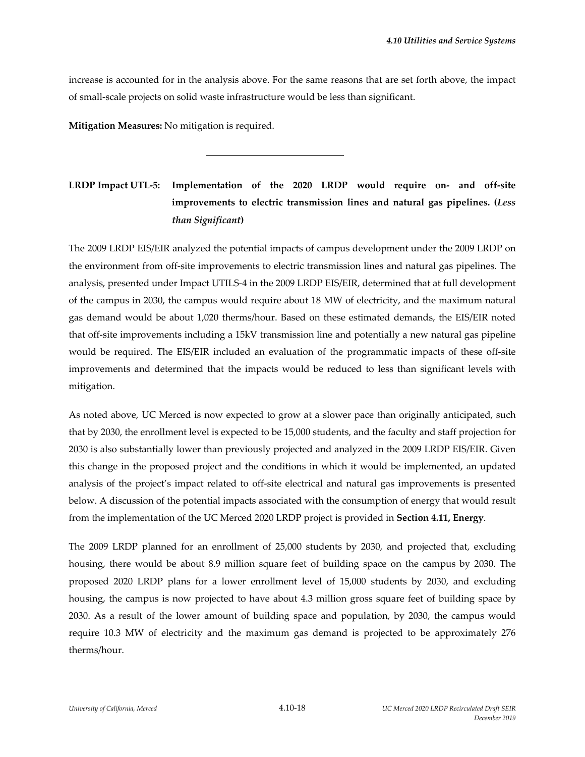increase is accounted for in the analysis above. For the same reasons that are set forth above, the impact of small‐scale projects on solid waste infrastructure would be less than significant.

**Mitigation Measures:** No mitigation is required.

l

# **LRDP Impact UTL‐5: Implementation of the 2020 LRDP would require on‐ and off‐site improvements to electric transmission lines and natural gas pipelines. (***Less than Significant***)**

The 2009 LRDP EIS/EIR analyzed the potential impacts of campus development under the 2009 LRDP on the environment from off‐site improvements to electric transmission lines and natural gas pipelines. The analysis, presented under Impact UTILS‐4 in the 2009 LRDP EIS/EIR, determined that at full development of the campus in 2030, the campus would require about 18 MW of electricity, and the maximum natural gas demand would be about 1,020 therms/hour. Based on these estimated demands, the EIS/EIR noted that off-site improvements including a 15kV transmission line and potentially a new natural gas pipeline would be required. The EIS/EIR included an evaluation of the programmatic impacts of these off-site improvements and determined that the impacts would be reduced to less than significant levels with mitigation.

As noted above, UC Merced is now expected to grow at a slower pace than originally anticipated, such that by 2030, the enrollment level is expected to be 15,000 students, and the faculty and staff projection for 2030 is also substantially lower than previously projected and analyzed in the 2009 LRDP EIS/EIR. Given this change in the proposed project and the conditions in which it would be implemented, an updated analysis of the project's impact related to off‐site electrical and natural gas improvements is presented below. A discussion of the potential impacts associated with the consumption of energy that would result from the implementation of the UC Merced 2020 LRDP project is provided in **Section 4.11, Energy**.

The 2009 LRDP planned for an enrollment of 25,000 students by 2030, and projected that, excluding housing, there would be about 8.9 million square feet of building space on the campus by 2030. The proposed 2020 LRDP plans for a lower enrollment level of 15,000 students by 2030, and excluding housing, the campus is now projected to have about 4.3 million gross square feet of building space by 2030. As a result of the lower amount of building space and population, by 2030, the campus would require 10.3 MW of electricity and the maximum gas demand is projected to be approximately 276 therms/hour.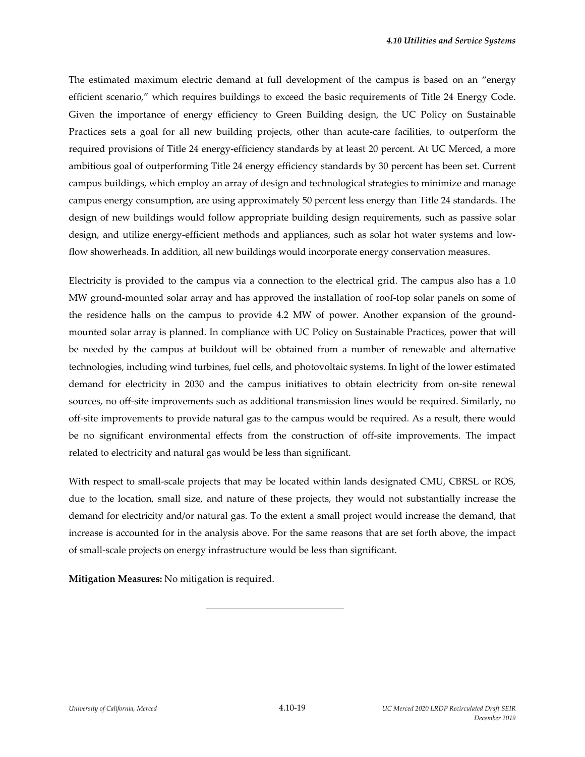The estimated maximum electric demand at full development of the campus is based on an "energy efficient scenario," which requires buildings to exceed the basic requirements of Title 24 Energy Code. Given the importance of energy efficiency to Green Building design, the UC Policy on Sustainable Practices sets a goal for all new building projects, other than acute-care facilities, to outperform the required provisions of Title 24 energy‐efficiency standards by at least 20 percent. At UC Merced, a more ambitious goal of outperforming Title 24 energy efficiency standards by 30 percent has been set. Current campus buildings, which employ an array of design and technological strategies to minimize and manage campus energy consumption, are using approximately 50 percent less energy than Title 24 standards. The design of new buildings would follow appropriate building design requirements, such as passive solar design, and utilize energy-efficient methods and appliances, such as solar hot water systems and lowflow showerheads. In addition, all new buildings would incorporate energy conservation measures.

Electricity is provided to the campus via a connection to the electrical grid. The campus also has a 1.0 MW ground-mounted solar array and has approved the installation of roof-top solar panels on some of the residence halls on the campus to provide 4.2 MW of power. Another expansion of the groundmounted solar array is planned. In compliance with UC Policy on Sustainable Practices, power that will be needed by the campus at buildout will be obtained from a number of renewable and alternative technologies, including wind turbines, fuel cells, and photovoltaic systems. In light of the lower estimated demand for electricity in 2030 and the campus initiatives to obtain electricity from on‐site renewal sources, no off-site improvements such as additional transmission lines would be required. Similarly, no off‐site improvements to provide natural gas to the campus would be required. As a result, there would be no significant environmental effects from the construction of off‐site improvements. The impact related to electricity and natural gas would be less than significant.

With respect to small-scale projects that may be located within lands designated CMU, CBRSL or ROS, due to the location, small size, and nature of these projects, they would not substantially increase the demand for electricity and/or natural gas. To the extent a small project would increase the demand, that increase is accounted for in the analysis above. For the same reasons that are set forth above, the impact of small‐scale projects on energy infrastructure would be less than significant.

**Mitigation Measures:** No mitigation is required.

l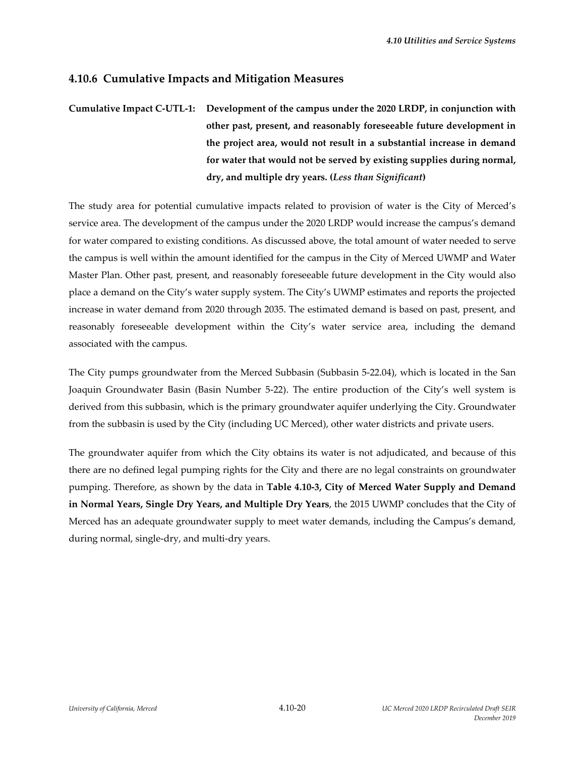# **4.10.6 Cumulative Impacts and Mitigation Measures**

# **Cumulative Impact C‐UTL‐1: Development of the campus under the 2020 LRDP, in conjunction with other past, present, and reasonably foreseeable future development in the project area, would not result in a substantial increase in demand for water that would not be served by existing supplies during normal, dry, and multiple dry years. (***Less than Significant***)**

The study area for potential cumulative impacts related to provision of water is the City of Merced's service area. The development of the campus under the 2020 LRDP would increase the campus's demand for water compared to existing conditions. As discussed above, the total amount of water needed to serve the campus is well within the amount identified for the campus in the City of Merced UWMP and Water Master Plan. Other past, present, and reasonably foreseeable future development in the City would also place a demand on the City's water supply system. The City's UWMP estimates and reports the projected increase in water demand from 2020 through 2035. The estimated demand is based on past, present, and reasonably foreseeable development within the City's water service area, including the demand associated with the campus.

The City pumps groundwater from the Merced Subbasin (Subbasin 5‐22.04), which is located in the San Joaquin Groundwater Basin (Basin Number 5‐22). The entire production of the City's well system is derived from this subbasin, which is the primary groundwater aquifer underlying the City. Groundwater from the subbasin is used by the City (including UC Merced), other water districts and private users.

The groundwater aquifer from which the City obtains its water is not adjudicated, and because of this there are no defined legal pumping rights for the City and there are no legal constraints on groundwater pumping. Therefore, as shown by the data in **Table 4.10‐3, City of Merced Water Supply and Demand in Normal Years, Single Dry Years, and Multiple Dry Years**, the 2015 UWMP concludes that the City of Merced has an adequate groundwater supply to meet water demands, including the Campus's demand, during normal, single‐dry, and multi‐dry years.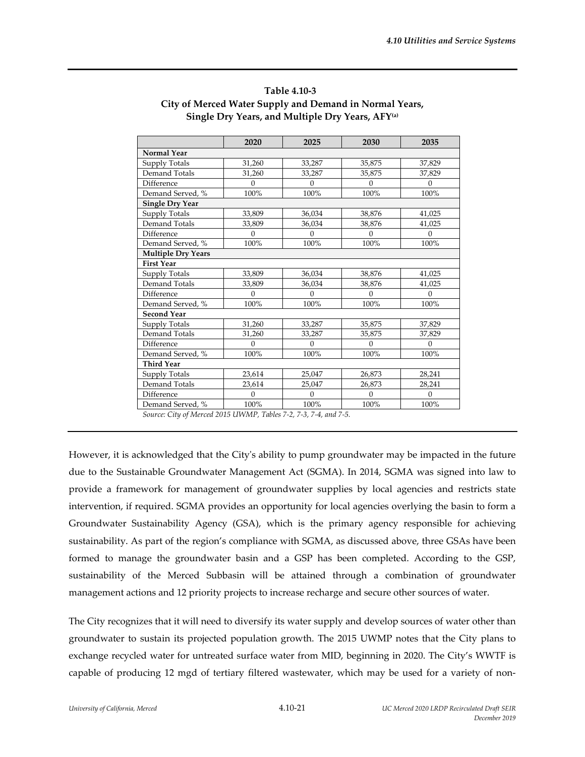|                           | 2020     | 2025         | 2030     | 2035     |  |  |
|---------------------------|----------|--------------|----------|----------|--|--|
| <b>Normal Year</b>        |          |              |          |          |  |  |
| Supply Totals             | 31,260   | 33,287       | 35,875   | 37,829   |  |  |
| Demand Totals             | 31,260   | 33,287       | 35,875   | 37,829   |  |  |
| Difference                | $\Omega$ | $\Omega$     | $\Omega$ | $\Omega$ |  |  |
| Demand Served, %          | 100%     | 100%<br>100% |          | 100%     |  |  |
| <b>Single Dry Year</b>    |          |              |          |          |  |  |
| Supply Totals             | 33,809   | 36,034       | 38,876   | 41,025   |  |  |
| Demand Totals             | 33,809   | 36,034       | 38,876   | 41,025   |  |  |
| Difference                | $\Omega$ | $\theta$     | $\Omega$ | $\Omega$ |  |  |
| Demand Served, %          | 100%     | 100%         | 100%     | 100%     |  |  |
| <b>Multiple Dry Years</b> |          |              |          |          |  |  |
| <b>First Year</b>         |          |              |          |          |  |  |
| Supply Totals             | 33,809   | 36,034       | 38,876   | 41,025   |  |  |
| Demand Totals             | 33,809   | 36,034       | 38,876   | 41,025   |  |  |
| Difference                | $\theta$ | $\theta$     | $\Omega$ | $\Omega$ |  |  |
| Demand Served, %          | 100%     | 100%         | 100%     | 100%     |  |  |
| <b>Second Year</b>        |          |              |          |          |  |  |
| <b>Supply Totals</b>      | 31,260   | 33,287       | 35,875   | 37,829   |  |  |
| Demand Totals             | 31,260   | 33,287       | 35,875   | 37,829   |  |  |
| Difference                | $\theta$ | $\theta$     | $\Omega$ | $\Omega$ |  |  |
| Demand Served, %          | 100%     | 100%         | 100%     | 100%     |  |  |
| <b>Third Year</b>         |          |              |          |          |  |  |
| Supply Totals             | 23,614   | 25,047       | 26,873   | 28,241   |  |  |
| Demand Totals             | 23,614   | 25,047       | 26,873   | 28,241   |  |  |
| Difference                | $\theta$ | $\theta$     | $\Omega$ | $\Omega$ |  |  |
| Demand Served, %          | 100%     | 100%         | 100%     | 100%     |  |  |

## **Table 4.10‐3 City of Merced Water Supply and Demand in Normal Years, Single Dry Years, and Multiple Dry Years, AFY(a)**

*Source: City of Merced 2015 UWMP, Tables 7‐2, 7‐3, 7‐4, and 7‐5.*

However, it is acknowledged that the Cityʹs ability to pump groundwater may be impacted in the future due to the Sustainable Groundwater Management Act (SGMA). In 2014, SGMA was signed into law to provide a framework for management of groundwater supplies by local agencies and restricts state intervention, if required. SGMA provides an opportunity for local agencies overlying the basin to form a Groundwater Sustainability Agency (GSA), which is the primary agency responsible for achieving sustainability. As part of the region's compliance with SGMA, as discussed above, three GSAs have been formed to manage the groundwater basin and a GSP has been completed. According to the GSP, sustainability of the Merced Subbasin will be attained through a combination of groundwater management actions and 12 priority projects to increase recharge and secure other sources of water.

The City recognizes that it will need to diversify its water supply and develop sources of water other than groundwater to sustain its projected population growth. The 2015 UWMP notes that the City plans to exchange recycled water for untreated surface water from MID, beginning in 2020. The City's WWTF is capable of producing 12 mgd of tertiary filtered wastewater, which may be used for a variety of non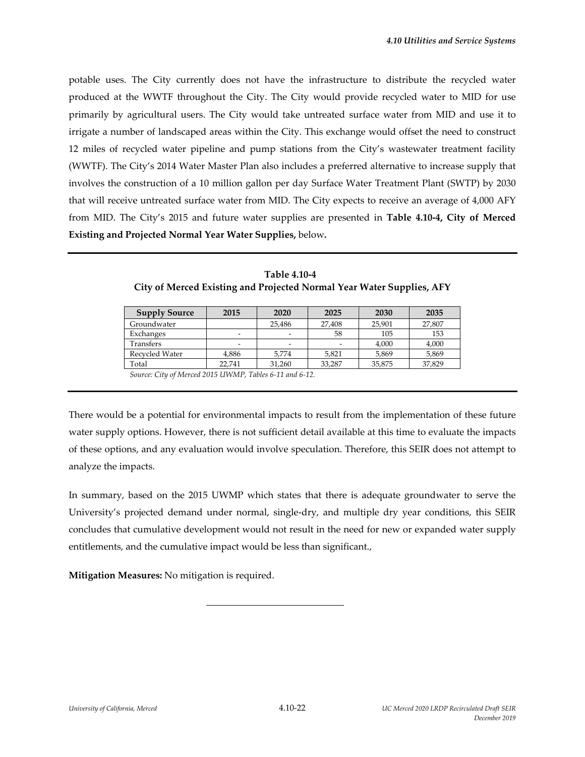potable uses. The City currently does not have the infrastructure to distribute the recycled water produced at the WWTF throughout the City. The City would provide recycled water to MID for use primarily by agricultural users. The City would take untreated surface water from MID and use it to irrigate a number of landscaped areas within the City. This exchange would offset the need to construct 12 miles of recycled water pipeline and pump stations from the City's wastewater treatment facility (WWTF). The City's 2014 Water Master Plan also includes a preferred alternative to increase supply that involves the construction of a 10 million gallon per day Surface Water Treatment Plant (SWTP) by 2030 that will receive untreated surface water from MID. The City expects to receive an average of 4,000 AFY from MID. The City's 2015 and future water supplies are presented in **Table 4.10‐4, City of Merced Existing and Projected Normal Year Water Supplies,** below**.**

| <b>Supply Source</b>                                    | 2015   | 2020   | 2025   | 2030   | 2035   |
|---------------------------------------------------------|--------|--------|--------|--------|--------|
| Groundwater                                             |        | 25,486 | 27,408 | 25,901 | 27,807 |
| Exchanges                                               |        |        | 58     | 105    | 153    |
| Transfers                                               |        |        |        | 4,000  | 4,000  |
| Recycled Water                                          | 4,886  | 5,774  | 5,821  | 5,869  | 5,869  |
| Total                                                   | 22.741 | 31.260 | 33.287 | 35,875 | 37,829 |
| Source: City of Merced 2015 UWMP, Tables 6-11 and 6-12. |        |        |        |        |        |

**Table 4.10‐4 City of Merced Existing and Projected Normal Year Water Supplies, AFY**

There would be a potential for environmental impacts to result from the implementation of these future water supply options. However, there is not sufficient detail available at this time to evaluate the impacts of these options, and any evaluation would involve speculation. Therefore, this SEIR does not attempt to analyze the impacts.

In summary, based on the 2015 UWMP which states that there is adequate groundwater to serve the University's projected demand under normal, single‐dry, and multiple dry year conditions, this SEIR concludes that cumulative development would not result in the need for new or expanded water supply entitlements, and the cumulative impact would be less than significant.,

**Mitigation Measures:** No mitigation is required.

l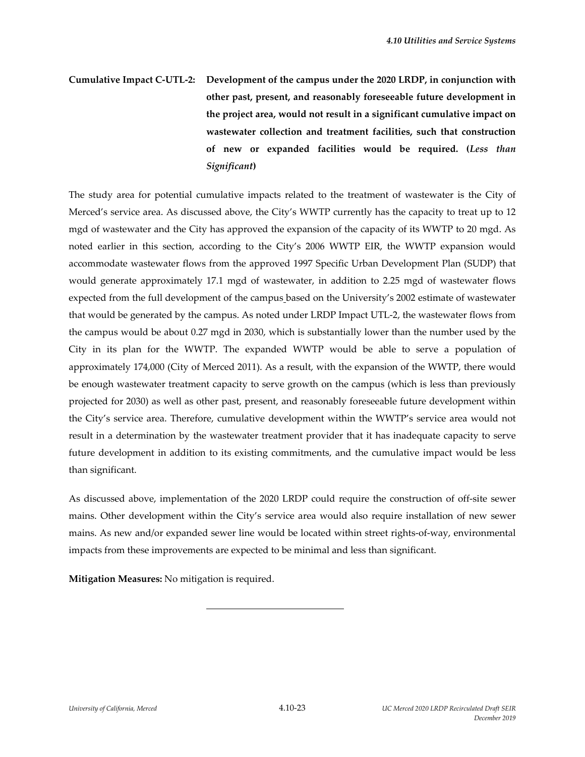# **Cumulative Impact C‐UTL‐2: Development of the campus under the 2020 LRDP, in conjunction with other past, present, and reasonably foreseeable future development in the project area, would not result in a significant cumulative impact on wastewater collection and treatment facilities, such that construction of new or expanded facilities would be required. (***Less than Significant***)**

The study area for potential cumulative impacts related to the treatment of wastewater is the City of Merced's service area. As discussed above, the City's WWTP currently has the capacity to treat up to 12 mgd of wastewater and the City has approved the expansion of the capacity of its WWTP to 20 mgd. As noted earlier in this section, according to the City's 2006 WWTP EIR, the WWTP expansion would accommodate wastewater flows from the approved 1997 Specific Urban Development Plan (SUDP) that would generate approximately 17.1 mgd of wastewater, in addition to 2.25 mgd of wastewater flows expected from the full development of the campus based on the University's 2002 estimate of wastewater that would be generated by the campus. As noted under LRDP Impact UTL‐2, the wastewater flows from the campus would be about 0.27 mgd in 2030, which is substantially lower than the number used by the City in its plan for the WWTP. The expanded WWTP would be able to serve a population of approximately 174,000 (City of Merced 2011). As a result, with the expansion of the WWTP, there would be enough wastewater treatment capacity to serve growth on the campus (which is less than previously projected for 2030) as well as other past, present, and reasonably foreseeable future development within the City's service area. Therefore, cumulative development within the WWTP's service area would not result in a determination by the wastewater treatment provider that it has inadequate capacity to serve future development in addition to its existing commitments, and the cumulative impact would be less than significant.

As discussed above, implementation of the 2020 LRDP could require the construction of off‐site sewer mains. Other development within the City's service area would also require installation of new sewer mains. As new and/or expanded sewer line would be located within street rights‐of‐way, environmental impacts from these improvements are expected to be minimal and less than significant.

**Mitigation Measures:** No mitigation is required.

l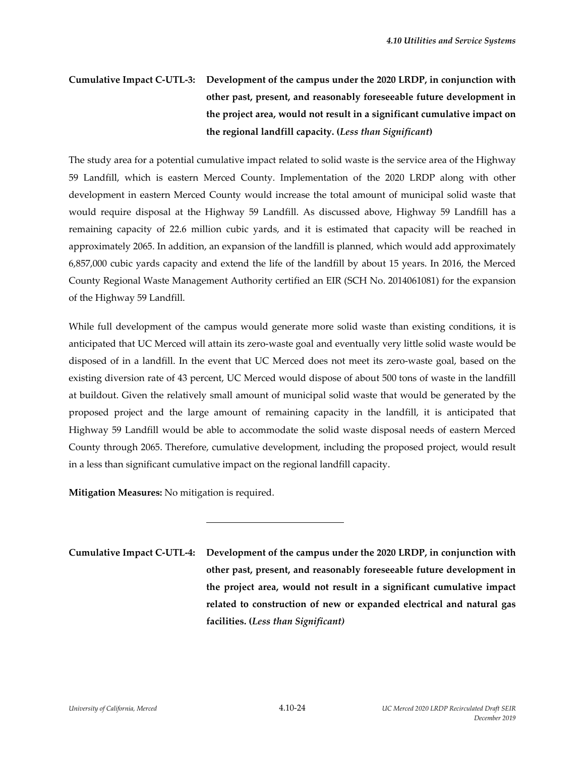# **Cumulative Impact C‐UTL‐3: Development of the campus under the 2020 LRDP, in conjunction with other past, present, and reasonably foreseeable future development in the project area, would not result in a significant cumulative impact on the regional landfill capacity. (***Less than Significant***)**

The study area for a potential cumulative impact related to solid waste is the service area of the Highway 59 Landfill, which is eastern Merced County. Implementation of the 2020 LRDP along with other development in eastern Merced County would increase the total amount of municipal solid waste that would require disposal at the Highway 59 Landfill. As discussed above, Highway 59 Landfill has a remaining capacity of 22.6 million cubic yards, and it is estimated that capacity will be reached in approximately 2065. In addition, an expansion of the landfill is planned, which would add approximately 6,857,000 cubic yards capacity and extend the life of the landfill by about 15 years. In 2016, the Merced County Regional Waste Management Authority certified an EIR (SCH No. 2014061081) for the expansion of the Highway 59 Landfill.

While full development of the campus would generate more solid waste than existing conditions, it is anticipated that UC Merced will attain its zero‐waste goal and eventually very little solid waste would be disposed of in a landfill. In the event that UC Merced does not meet its zero‐waste goal, based on the existing diversion rate of 43 percent, UC Merced would dispose of about 500 tons of waste in the landfill at buildout. Given the relatively small amount of municipal solid waste that would be generated by the proposed project and the large amount of remaining capacity in the landfill, it is anticipated that Highway 59 Landfill would be able to accommodate the solid waste disposal needs of eastern Merced County through 2065. Therefore, cumulative development, including the proposed project, would result in a less than significant cumulative impact on the regional landfill capacity.

**Mitigation Measures:** No mitigation is required.

l

**Cumulative Impact C‐UTL‐4: Development of the campus under the 2020 LRDP, in conjunction with other past, present, and reasonably foreseeable future development in the project area, would not result in a significant cumulative impact related to construction of new or expanded electrical and natural gas facilities. (***Less than Significant)*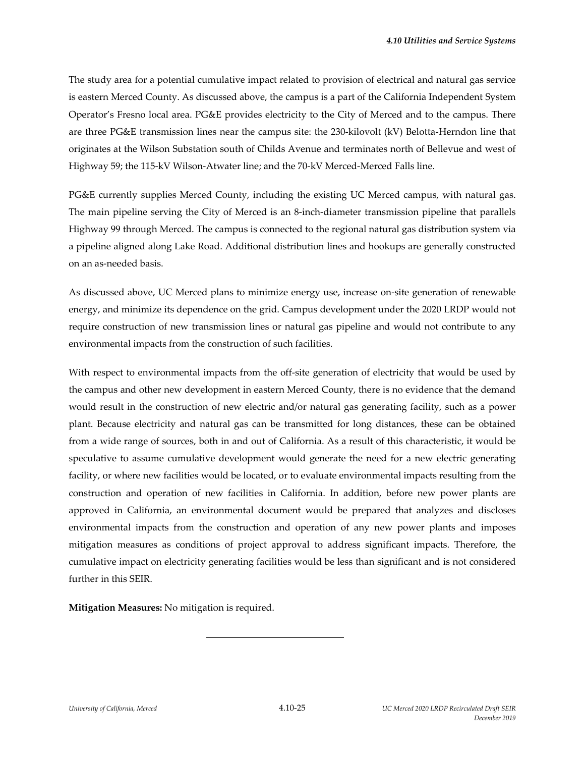The study area for a potential cumulative impact related to provision of electrical and natural gas service is eastern Merced County. As discussed above, the campus is a part of the California Independent System Operator's Fresno local area. PG&E provides electricity to the City of Merced and to the campus. There are three PG&E transmission lines near the campus site: the 230‐kilovolt (kV) Belotta‐Herndon line that originates at the Wilson Substation south of Childs Avenue and terminates north of Bellevue and west of Highway 59; the 115‐kV Wilson‐Atwater line; and the 70‐kV Merced‐Merced Falls line.

PG&E currently supplies Merced County, including the existing UC Merced campus, with natural gas. The main pipeline serving the City of Merced is an 8-inch-diameter transmission pipeline that parallels Highway 99 through Merced. The campus is connected to the regional natural gas distribution system via a pipeline aligned along Lake Road. Additional distribution lines and hookups are generally constructed on an as‐needed basis.

As discussed above, UC Merced plans to minimize energy use, increase on-site generation of renewable energy, and minimize its dependence on the grid. Campus development under the 2020 LRDP would not require construction of new transmission lines or natural gas pipeline and would not contribute to any environmental impacts from the construction of such facilities.

With respect to environmental impacts from the off-site generation of electricity that would be used by the campus and other new development in eastern Merced County, there is no evidence that the demand would result in the construction of new electric and/or natural gas generating facility, such as a power plant. Because electricity and natural gas can be transmitted for long distances, these can be obtained from a wide range of sources, both in and out of California. As a result of this characteristic, it would be speculative to assume cumulative development would generate the need for a new electric generating facility, or where new facilities would be located, or to evaluate environmental impacts resulting from the construction and operation of new facilities in California. In addition, before new power plants are approved in California, an environmental document would be prepared that analyzes and discloses environmental impacts from the construction and operation of any new power plants and imposes mitigation measures as conditions of project approval to address significant impacts. Therefore, the cumulative impact on electricity generating facilities would be less than significant and is not considered further in this SEIR.

**Mitigation Measures:** No mitigation is required.

l